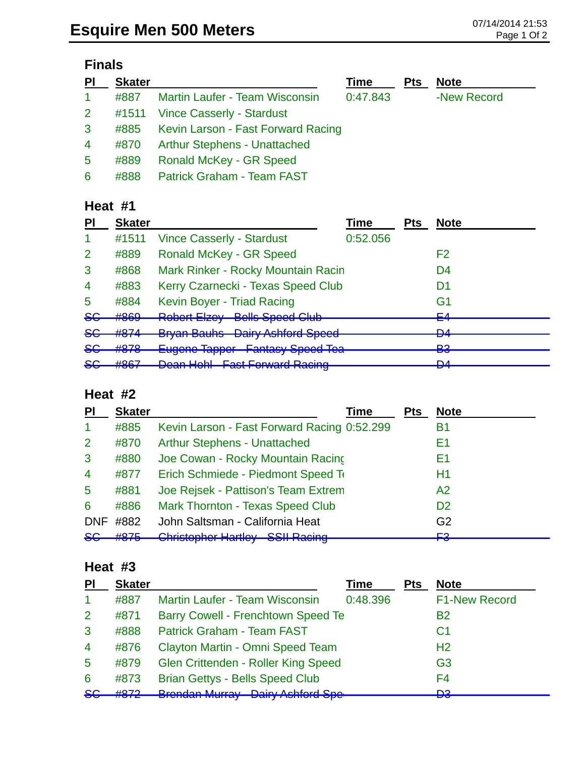# **Finals**

| P <sub>1</sub> | <b>Skater</b> |                                         | Time     | <b>Pts</b> | <b>Note</b> |
|----------------|---------------|-----------------------------------------|----------|------------|-------------|
| $\mathbf{1}$   | #887          | <b>Martin Laufer - Team Wisconsin</b>   | 0:47.843 |            | -New Record |
| $2^{\circ}$    |               | #1511 Vince Casserly - Stardust         |          |            |             |
| $\mathbf{3}$   |               | #885 Kevin Larson - Fast Forward Racing |          |            |             |
| $\overline{4}$ | #870          | <b>Arthur Stephens - Unattached</b>     |          |            |             |
| $5^{\circ}$    | #889          | <b>Ronald McKey - GR Speed</b>          |          |            |             |
| 6              | #888          | <b>Patrick Graham - Team FAST</b>       |          |            |             |

### **Heat #1**

| PI            | <b>Skater</b>     |                                                                                      | Time     | <b>Pts</b> | <b>Note</b>    |
|---------------|-------------------|--------------------------------------------------------------------------------------|----------|------------|----------------|
|               | #1511             | <b>Vince Casserly - Stardust</b>                                                     | 0:52.056 |            |                |
| 2             | #889              | <b>Ronald McKey - GR Speed</b>                                                       |          |            | F2             |
| 3             | #868              | Mark Rinker - Rocky Mountain Racin                                                   |          |            | D4             |
| 4             | #883              | Kerry Czarnecki - Texas Speed Club                                                   |          |            | D1             |
| 5             | #884              | Kevin Boyer - Triad Racing                                                           |          |            | G1             |
| <del>SG</del> | #869              | <b>Robert Elzey Bells Speed Club</b>                                                 |          |            | ᆮ<br>ਵਰ        |
| <del>SG</del> | #874              | <b>Bryan Bauhs Dairy Ashford Speed</b>                                               |          |            | <u>na</u><br>▱ |
| <del>SG</del> | #878              | <b>Eugene Tapper Fantasy Speed Tea</b>                                               |          |            | פם<br>ဟ        |
| $86$          | HQQ7<br>$\pi$ oui | Doon Hobl - East Forward Dooing<br><u>T dot Forward Ttaoling</u><br><b>Duan Tuni</b> |          |            | <b>DA</b><br>▱ |
|               |                   |                                                                                      |          |            |                |

#### **Heat #2**

| PI             | <b>Skater</b> | Time                                                                                        | <b>Pts</b> | <b>Note</b>     |
|----------------|---------------|---------------------------------------------------------------------------------------------|------------|-----------------|
| -1             | #885          | Kevin Larson - Fast Forward Racing 0:52.299                                                 |            | Β1              |
| $\overline{2}$ | #870          | <b>Arthur Stephens - Unattached</b>                                                         |            | Ε1              |
| 3              | #880          | Joe Cowan - Rocky Mountain Racing                                                           |            | Ε1              |
| $\overline{4}$ | #877          | Erich Schmiede - Piedmont Speed To                                                          |            | H1              |
| 5              | #881          | Joe Rejsek - Pattison's Team Extrem                                                         |            | A2              |
| 6              | #886          | <b>Mark Thornton - Texas Speed Club</b>                                                     |            | D <sub>2</sub>  |
| <b>DNF</b>     | #882          | John Saltsman - California Heat                                                             |            | G <sub>2</sub>  |
| <del>SG</del>  | HQZE          | Christopher Hartley CCII Dooing<br><del>omiolophor riditiloy</del><br><del>Oon naoing</del> |            | <b>E2</b><br>⊤⊽ |

### **Heat #3**

| PI             | <b>Skater</b> |                                            | Time     | <b>Pts</b> | <b>Note</b>          |
|----------------|---------------|--------------------------------------------|----------|------------|----------------------|
|                | #887          | <b>Martin Laufer - Team Wisconsin</b>      | 0:48.396 |            | <b>F1-New Record</b> |
| 2              | #871          | <b>Barry Cowell - Frenchtown Speed Te</b>  |          |            | <b>B2</b>            |
| 3              | #888          | <b>Patrick Graham - Team FAST</b>          |          |            | C1                   |
| $\overline{4}$ | #876          | Clayton Martin - Omni Speed Team           |          |            | H <sub>2</sub>       |
| 5              | #879          | Glen Crittenden - Roller King Speed        |          |            | G <sub>3</sub>       |
| 6              | #873          | <b>Brian Gettys - Bells Speed Club</b>     |          |            | F4                   |
| 86             | <u> 4872 </u> | <b>Brendan Murray - Dairy Ashford Spe-</b> |          |            | מח<br>c              |